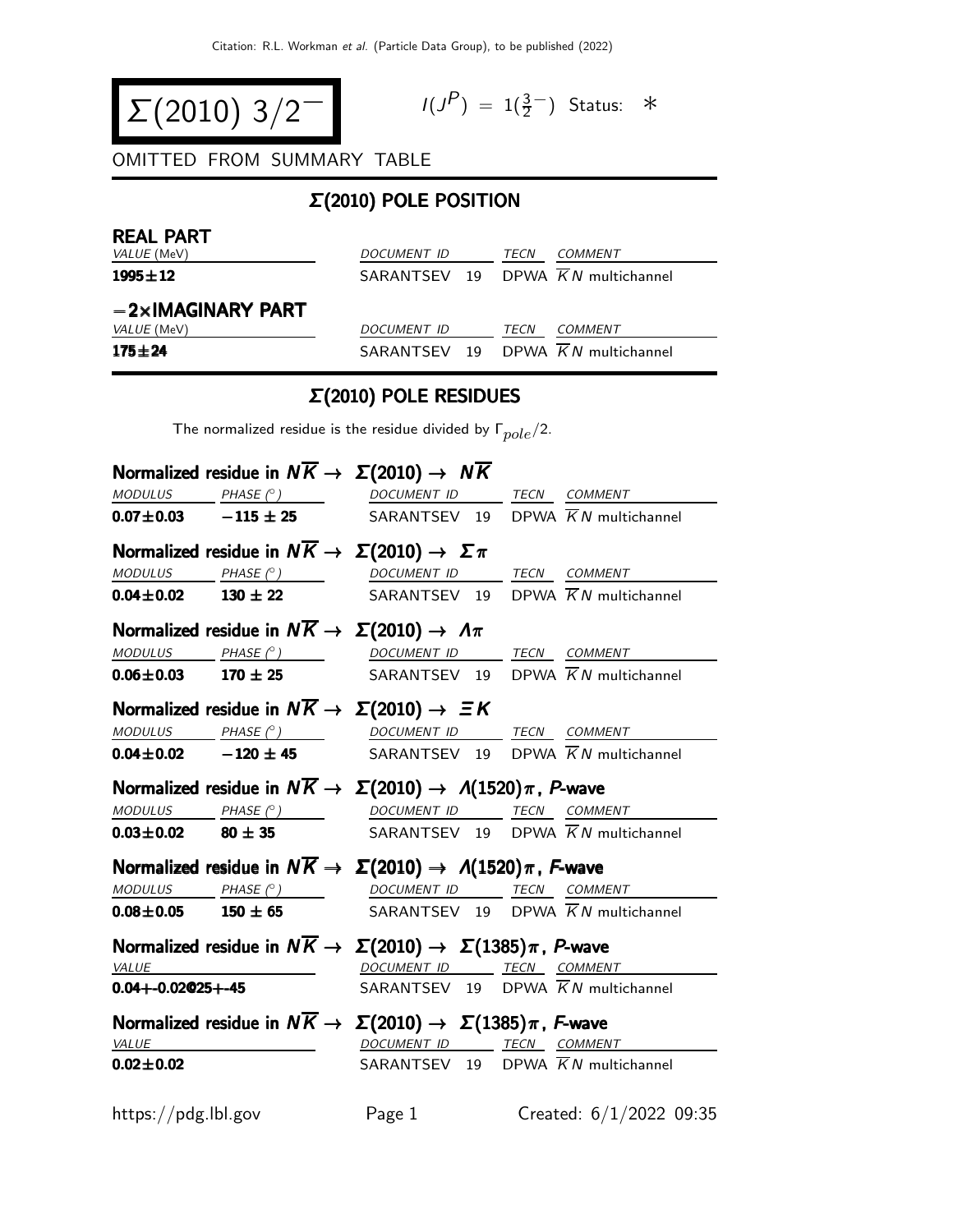$$
\Sigma(2010) 3/2^{-1}
$$

$$
I(J^P) = 1(\frac{3}{2}^-) \quad \text{Status:} \quad *
$$

OMITTED FROM SUMMARY TABLE

## Σ(2010) POLE POSITION

| <b>REAL PART</b>          |             |      |                                                |
|---------------------------|-------------|------|------------------------------------------------|
| <i>VALUE</i> (MeV)        | DOCUMENT ID | TECN | <i>COMMENT</i>                                 |
| $1995 \pm 12$             |             |      | SARANTSEV 19 DPWA KN multichannel              |
| $-2\times$ IMAGINARY PART |             |      |                                                |
| <i>VALUE</i> (MeV)        | DOCUMENT ID | TECN | COMMENT                                        |
| $175 + 24$                |             |      | SARANTSEV 19 DPWA $\overline{K}N$ multichannel |

## Σ(2010) POLE RESIDUES

The normalized residue is the residue divided by  $\Gamma_{pole}/2$ .

|                         |              | Normalized residue in $N\overline{K} \rightarrow \Sigma(2010) \rightarrow N\overline{K}$                                                                                                      |                                                                                                                                                                                                                                                                                                                                                                                                                                                                         |
|-------------------------|--------------|-----------------------------------------------------------------------------------------------------------------------------------------------------------------------------------------------|-------------------------------------------------------------------------------------------------------------------------------------------------------------------------------------------------------------------------------------------------------------------------------------------------------------------------------------------------------------------------------------------------------------------------------------------------------------------------|
|                         |              |                                                                                                                                                                                               | $\begin{array}{ccccccccc}\textit{MODULUS} & \textit{PHASE}&\textit{?}) & \textit{DOCUMENT ID} & \textit{TECN} & \textit{COMMENT} & \textit{?} \end{array}$                                                                                                                                                                                                                                                                                                              |
|                         |              |                                                                                                                                                                                               | <b>0.07<math>\pm</math>0.03</b> - 115 $\pm$ 25 SARANTSEV 19 DPWA $\overline{K}N$ multichannel                                                                                                                                                                                                                                                                                                                                                                           |
|                         |              | Normalized residue in $N\overline{K} \to \Sigma(2010) \to \Sigma \pi$                                                                                                                         |                                                                                                                                                                                                                                                                                                                                                                                                                                                                         |
|                         |              | $\underline{\textit{MODULUS}} \qquad \underline{\textit{PHASE (}^{\circ}) \qquad \qquad \underline{\textit{DOCUMENT ID}} \qquad \underline{\textit{TECN}} \quad \underline{\textit{COMMENT}}$ |                                                                                                                                                                                                                                                                                                                                                                                                                                                                         |
|                         |              |                                                                                                                                                                                               | <b>0.04±0.02</b> 130 ± 22  SARANTSEV 19 DPWA $\overline{K}N$ multichannel                                                                                                                                                                                                                                                                                                                                                                                               |
|                         |              | Normalized residue in $N\overline{K} \to \Sigma(2010) \to \Lambda \pi$                                                                                                                        |                                                                                                                                                                                                                                                                                                                                                                                                                                                                         |
|                         |              |                                                                                                                                                                                               | MODULUS PHASE (°) DOCUMENT ID TECN COMMENT                                                                                                                                                                                                                                                                                                                                                                                                                              |
|                         |              |                                                                                                                                                                                               | <b>0.06±0.03</b> 170 ± 25 SARANTSEV 19 DPWA $\overline{K}N$ multichannel                                                                                                                                                                                                                                                                                                                                                                                                |
|                         |              | Normalized residue in $N\overline{K} \rightarrow \Sigma(2010) \rightarrow \Xi K$                                                                                                              |                                                                                                                                                                                                                                                                                                                                                                                                                                                                         |
|                         |              |                                                                                                                                                                                               | $\begin{array}{ccccccccc} \textit{MODULUS} & \textit{PHASE (}^{\circ}) & \textit{DOCUMENT ID} & \textit{TECN} & \textit{COMMENT} & \textit{IMNIST} & \textit{IMNENT} & \textit{IMNIST} & \textit{OMMENT} & \textit{OMMENT} & \textit{OMMENT} & \textit{OMMENT} & \textit{OMMENT} & \textit{OMMENT} & \textit{OMMENT} & \textit{OMMENT} & \textit{OMMENT} & \textit{OMMENT} & \textit{OMMENT} & \textit{OMMENT} & \textit{OMMENT} & \textit{OMMENT} & \textit{OMMENT} &$ |
|                         |              |                                                                                                                                                                                               | $\overline{0.04\pm 0.02}$ -120 $\pm$ 45 SARANTSEV 19 DPWA $\overline{K}N$ multichannel                                                                                                                                                                                                                                                                                                                                                                                  |
|                         |              | Normalized residue in $N\overline{K} \to \Sigma(2010) \to \Lambda(1520)\pi$ , P-wave                                                                                                          |                                                                                                                                                                                                                                                                                                                                                                                                                                                                         |
|                         |              | $MODULUS$ PHASE $(°)$ DOCUMENT ID TECN COMMENT                                                                                                                                                |                                                                                                                                                                                                                                                                                                                                                                                                                                                                         |
|                         |              |                                                                                                                                                                                               | <b>0.03±0.02</b> 80 ± 35  SARANTSEV 19 DPWA $\overline{K}N$ multichannel                                                                                                                                                                                                                                                                                                                                                                                                |
|                         |              | Normalized residue in $N\overline{K} \to \Sigma(2010) \to \Lambda(1520)\pi$ , F-wave                                                                                                          |                                                                                                                                                                                                                                                                                                                                                                                                                                                                         |
|                         |              | $\begin{array}{ccc}\textit{MODULUS} & \textit{PHASE (}^{\circ}) & \textit{DOCUMENT ID} & \textit{TECN} & \textit{COMMENT} \\ \end{array}$                                                     |                                                                                                                                                                                                                                                                                                                                                                                                                                                                         |
|                         |              |                                                                                                                                                                                               | <b>0.08±0.05</b> 150 ± 65 SARANTSEV 19 DPWA $\overline{K}N$ multichannel                                                                                                                                                                                                                                                                                                                                                                                                |
|                         |              | Normalized residue in $N\overline{K} \to \Sigma(2010) \to \Sigma(1385)\pi$ , P-wave                                                                                                           |                                                                                                                                                                                                                                                                                                                                                                                                                                                                         |
|                         | VALUE        | DOCUMENT ID TECN COMMENT                                                                                                                                                                      |                                                                                                                                                                                                                                                                                                                                                                                                                                                                         |
| $0.04 + -0.02@25 + -45$ |              |                                                                                                                                                                                               | SARANTSEV 19 DPWA $\overline{K}N$ multichannel                                                                                                                                                                                                                                                                                                                                                                                                                          |
|                         |              | Normalized residue in $N\overline{K} \to \Sigma(2010) \to \Sigma(1385)\pi$ , F-wave                                                                                                           |                                                                                                                                                                                                                                                                                                                                                                                                                                                                         |
|                         | <b>VALUE</b> |                                                                                                                                                                                               | DOCUMENT ID TECN COMMENT                                                                                                                                                                                                                                                                                                                                                                                                                                                |
| $0.02 \pm 0.02$         |              |                                                                                                                                                                                               | SARANTSEV 19 DPWA $\overline{K}N$ multichannel                                                                                                                                                                                                                                                                                                                                                                                                                          |
| https://pdg.lbl.gov     |              | Page 1                                                                                                                                                                                        | Created: 6/1/2022 09:35                                                                                                                                                                                                                                                                                                                                                                                                                                                 |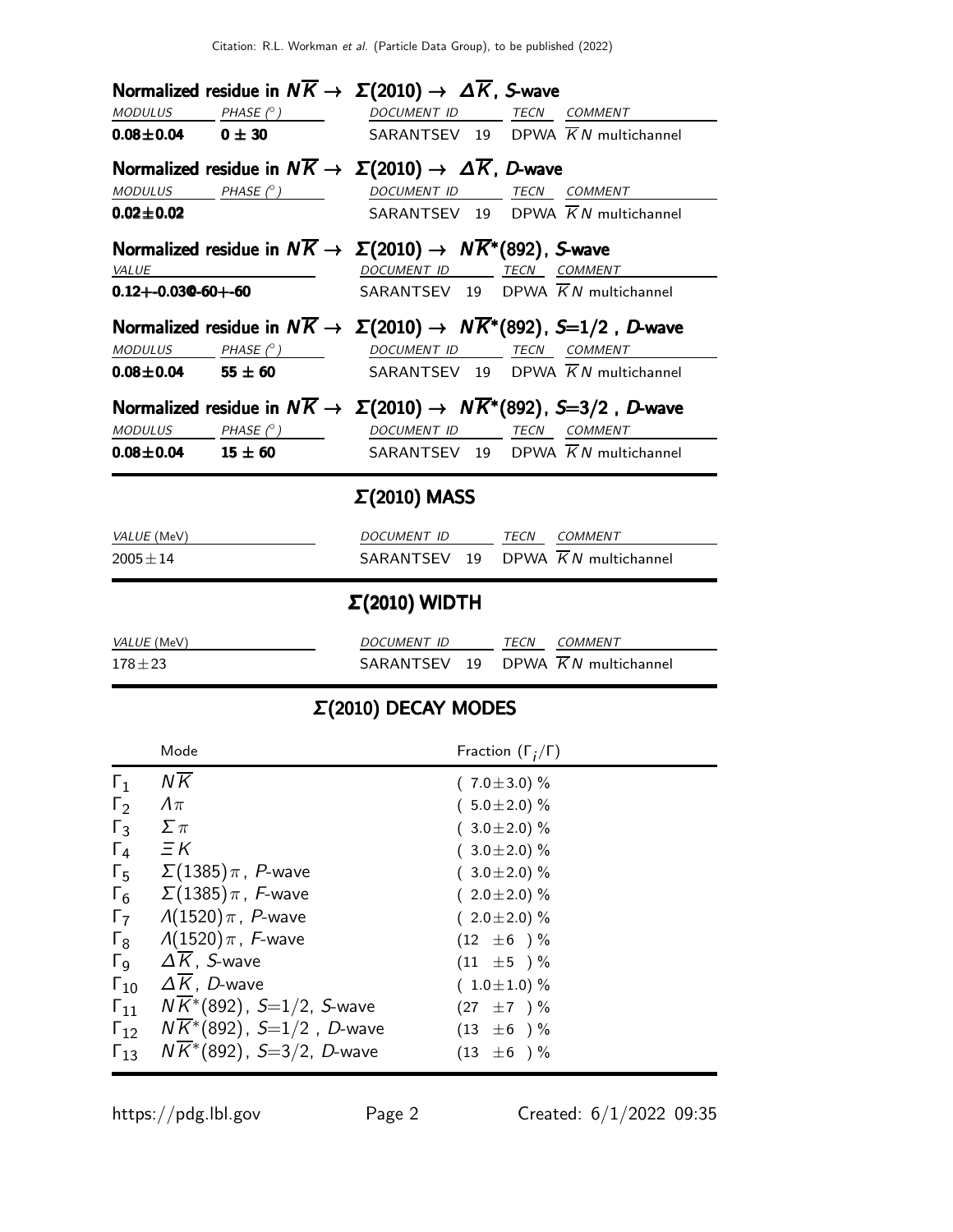|                             |                            | Normalized residue in $N\overline{K} \to \Sigma(2010) \to \Delta \overline{K}$ , S-wave         |  |
|-----------------------------|----------------------------|-------------------------------------------------------------------------------------------------|--|
|                             |                            | MODULUS PHASE (°) DOCUMENT ID TECN COMMENT                                                      |  |
| $0.08 \pm 0.04$ 0 ± 30      |                            | SARANTSEV 19 DPWA $\overline{K}N$ multichannel                                                  |  |
|                             |                            | Normalized residue in $N\overline{K} \to \Sigma(2010) \to \Delta \overline{K}$ , D-wave         |  |
|                             | $MODULUS$ $PHASE (^\circ)$ | DOCUMENT ID TECN COMMENT                                                                        |  |
| $0.02 \pm 0.02$             |                            | SARANTSEV 19 DPWA $\overline{K}N$ multichannel                                                  |  |
|                             |                            | Normalized residue in $N\overline{K} \to \Sigma(2010) \to N\overline{K}^*(892)$ , S-wave        |  |
| VALUE                       |                            | DOCUMENT ID TECN COMMENT                                                                        |  |
| $0.12 + -0.03$ Q-60+-60     |                            | SARANTSEV 19 DPWA $\overline{K}N$ multichannel                                                  |  |
|                             |                            | Normalized residue in $N\overline{K} \to \Sigma(2010) \to N\overline{K}^*(892)$ , S=1/2, D-wave |  |
|                             | $MODULUS$ $PHASE (°)$      | DOCUMENT ID TECN COMMENT                                                                        |  |
| $0.08 \pm 0.04$ 55 $\pm$ 60 |                            | SARANTSEV 19 DPWA $\overline{K}N$ multichannel                                                  |  |
|                             |                            | Normalized residue in $N\overline{K} \to \Sigma(2010) \to N\overline{K}^*(892)$ , S=3/2, D-wave |  |
|                             | $MODULUS$ $PHASE (°)$      | DOCUMENT ID TECN COMMENT                                                                        |  |
| $0.08 \pm 0.04$ 15 $\pm 60$ |                            | SARANTSEV 19 DPWA $\overline{K}N$ multichannel                                                  |  |
|                             |                            | $\Sigma(2010)$ MASS                                                                             |  |
| VALUE (MeV)                 |                            | DOCUMENT ID TECN COMMENT                                                                        |  |
| $2005 \pm 14$               |                            | SARANTSEV 19 DPWA $\overline{K}N$ multichannel                                                  |  |
|                             |                            | $\Sigma(2010)$ WIDTH                                                                            |  |
| VALUE (MeV)                 |                            | DOCUMENT ID TECN COMMENT                                                                        |  |
| $178 + 23$                  |                            | SARANTSEV 19 DPWA KN multichannel                                                               |  |

## Σ(2010) DECAY MODES

|                       | Mode                                  | Fraction $(\Gamma_i/\Gamma)$ |
|-----------------------|---------------------------------------|------------------------------|
| $\Gamma_1$            | $N\overline{K}$                       | $(7.0 \pm 3.0)$ %            |
| $\Gamma_2$            | $\Lambda\pi$                          | $(5.0 \pm 2.0)$ %            |
| $\Gamma_3$            | $\Sigma \pi$                          | $(3.0 \pm 2.0)$ %            |
| $\Gamma_4$            | $\Xi K$                               | $(3.0 \pm 2.0)$ %            |
| $\Gamma_{5}$          | $\Sigma(1385)\pi$ , $P$ -wave         | $(3.0 \pm 2.0)$ %            |
| $\Gamma_6$            | $\Sigma(1385)\pi$ , F-wave            | $(2.0 \pm 2.0)$ %            |
| $\Gamma_7$            | $\Lambda(1520)\,\pi$ , P-wave         | $(2.0 \pm 2.0)$ %            |
| $\Gamma_8$            | $\Lambda(1520)\,\pi$ , F-wave         | $(12 \pm 6) \%$              |
| $\Gamma_{\mathsf{Q}}$ | $\Delta K$ , S-wave                   | $(11 \pm 5) \%$              |
| $\Gamma_{10}$         | $\Delta K$ , D-wave                   | $(1.0 \pm 1.0) \%$           |
| $\Gamma_{11}$         | $NK*(892)$ , S=1/2, S-wave            | $(27 \pm 7) \%$              |
| $\Gamma_{12}$         | $N\bar K^{*}(892)$ , S=1/2, D-wave    | $(13 \pm 6) \%$              |
| $\Gamma_{13}$         | $N\overline{K}$ *(892), S=3/2, D-wave | $(13 \pm 6) \%$              |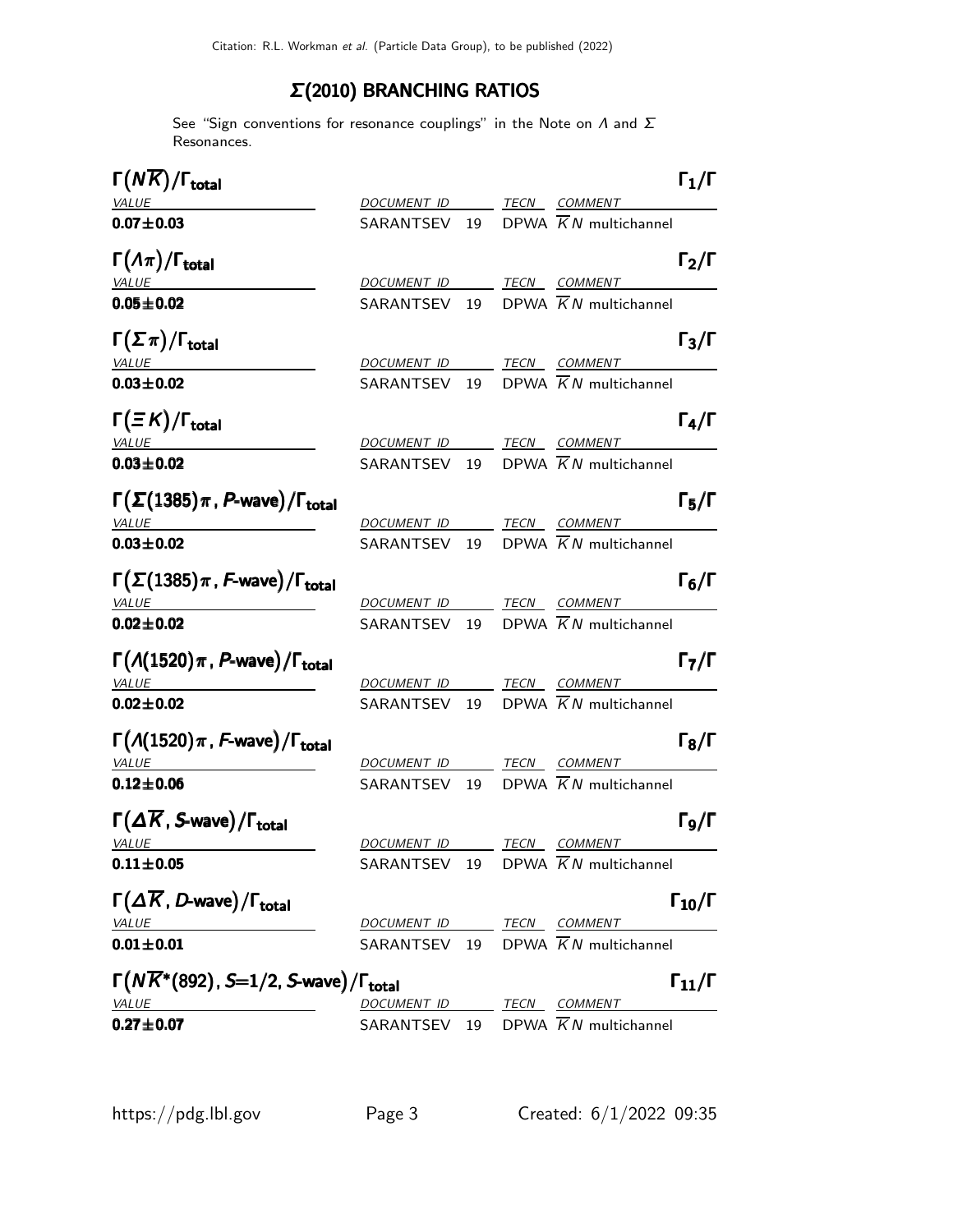## Σ(2010) BRANCHING RATIOS

See "Sign conventions for resonance couplings" in the Note on  $\Lambda$  and  $\Sigma$ Resonances.

| $\Gamma(N\overline{K})/\Gamma_{\rm total}$                              |                          |  |                                                | $\Gamma_1/\Gamma$    |
|-------------------------------------------------------------------------|--------------------------|--|------------------------------------------------|----------------------|
| <b>VALUE</b>                                                            |                          |  | DOCUMENT ID TECN COMMENT                       |                      |
| $0.07 + 0.03$                                                           |                          |  | SARANTSEV 19 DPWA $\overline{K}N$ multichannel |                      |
| $\Gamma(\Lambda \pi)/\Gamma_{\rm total}$                                |                          |  |                                                | $\Gamma_2/\Gamma$    |
| <b>VALUE</b>                                                            |                          |  | DOCUMENT ID TECN COMMENT                       |                      |
| $0.05 \pm 0.02$                                                         |                          |  | SARANTSEV 19 DPWA $\overline{K}N$ multichannel |                      |
| $\Gamma(\Sigma \pi)/\Gamma_{\rm total}$                                 |                          |  |                                                | $\Gamma_3/\Gamma$    |
| <b>VALUE</b>                                                            | DOCUMENT ID TECN COMMENT |  |                                                |                      |
| $0.03 \pm 0.02$                                                         |                          |  | SARANTSEV 19 DPWA $\overline{K}N$ multichannel |                      |
| $\Gamma(\equiv K)/\Gamma_{\rm total}$                                   |                          |  |                                                | $\Gamma_4/\Gamma$    |
| VALUE                                                                   |                          |  | DOCUMENT ID TECN COMMENT                       |                      |
| $0.03 \pm 0.02$                                                         |                          |  | SARANTSEV 19 DPWA $\overline{K}N$ multichannel |                      |
| $\Gamma(\Sigma(1385)\pi$ , P-wave)/ $\Gamma_{\text{total}}$             |                          |  |                                                | $\Gamma_5/\Gamma$    |
| <b>VALUE</b><br><u> 1980 - Johann Barnett, fransk politiker (</u>       |                          |  | DOCUMENT ID TECN COMMENT                       |                      |
| $0.03 + 0.02$                                                           |                          |  | SARANTSEV 19 DPWA $\overline{K}N$ multichannel |                      |
| $\Gamma(\Sigma(1385)\pi$ , F-wave)/ $\Gamma_{\text{total}}$             |                          |  |                                                | $\Gamma_6/\Gamma$    |
| <b>VALUE</b>                                                            | DOCUMENT ID TECN COMMENT |  |                                                |                      |
| $0.02 \pm 0.02$                                                         |                          |  | SARANTSEV 19 DPWA $\overline{K}N$ multichannel |                      |
| $\Gamma(A(1520)\pi, P$ -wave)/ $\Gamma_{\text{total}}$                  |                          |  |                                                | $\Gamma_7/\Gamma$    |
| <b>VALUE</b>                                                            |                          |  | DOCUMENT ID TECN COMMENT                       |                      |
| $0.02 \pm 0.02$                                                         |                          |  | SARANTSEV 19 DPWA $\overline{K}N$ multichannel |                      |
| $\Gamma(\Lambda(1520)\pi, F$ -wave)/ $\Gamma_{\text{total}}$            |                          |  |                                                | $\Gamma_8/\Gamma$    |
| <b>VALUE</b>                                                            |                          |  | DOCUMENT ID TECN COMMENT                       |                      |
| $0.12 \pm 0.06$                                                         |                          |  | SARANTSEV 19 DPWA $\overline{K}N$ multichannel |                      |
| $\Gamma(\Delta \overline{K}, S$ -wave)/ $\Gamma_{\text{total}}$         |                          |  |                                                | $\Gamma$ 9/Г         |
| <u>VALUE</u>                                                            |                          |  | DOCUMENT ID TECN COMMENT                       |                      |
| $0.11 \pm 0.05$                                                         |                          |  | SARANTSEV 19 DPWA $\overline{K}N$ multichannel |                      |
| $\Gamma(\Delta \overline{K}, D$ -wave)/ $\Gamma_{\text{total}}$         |                          |  |                                                | $\Gamma_{10}/\Gamma$ |
| <b>VALUE</b>                                                            |                          |  | DOCUMENT ID TECN COMMENT                       |                      |
| $0.01 \pm 0.01$                                                         |                          |  | SARANTSEV 19 DPWA $\overline{K}N$ multichannel |                      |
| $\Gamma(N\overline{K}^*(892), S=1/2, S$ -wave)/ $\Gamma_{\text{total}}$ |                          |  |                                                | $\Gamma_{11}/\Gamma$ |
| <b>VALUE</b>                                                            | DOCUMENT ID TECN COMMENT |  |                                                |                      |
| $0.27 + 0.07$                                                           |                          |  | SARANTSEV 19 DPWA $\overline{K}N$ multichannel |                      |